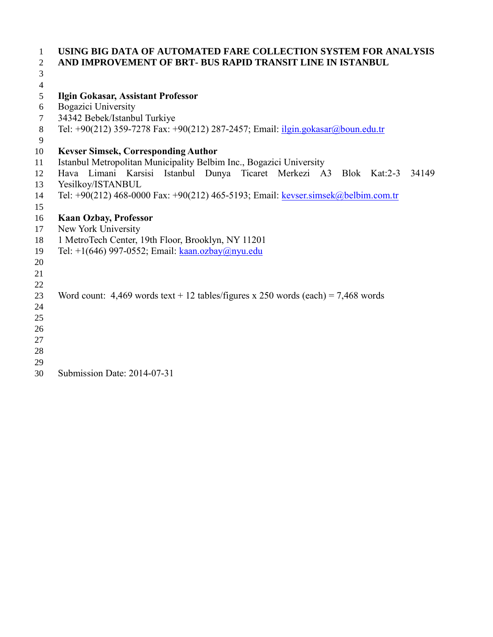| 1                        | USING BIG DATA OF AUTOMATED FARE COLLECTION SYSTEM FOR ANALYSIS                            |  |  |  |
|--------------------------|--------------------------------------------------------------------------------------------|--|--|--|
| $\overline{2}$           | AND IMPROVEMENT OF BRT- BUS RAPID TRANSIT LINE IN ISTANBUL                                 |  |  |  |
| 3                        |                                                                                            |  |  |  |
| $\overline{\mathcal{A}}$ |                                                                                            |  |  |  |
| 5                        | <b>Ilgin Gokasar, Assistant Professor</b>                                                  |  |  |  |
| 6                        | Bogazici University                                                                        |  |  |  |
| $\tau$                   | 34342 Bebek/Istanbul Turkiye                                                               |  |  |  |
| $8\,$                    | Tel: +90(212) 359-7278 Fax: +90(212) 287-2457; Email: <i>ilgin.gokasar@boun.edu.tr</i>     |  |  |  |
| 9                        |                                                                                            |  |  |  |
| 10                       | <b>Kevser Simsek, Corresponding Author</b>                                                 |  |  |  |
| 11                       | Istanbul Metropolitan Municipality Belbim Inc., Bogazici University                        |  |  |  |
| 12                       | Limani Karsisi<br>Istanbul Dunya<br>Ticaret Merkezi A3<br>Hava<br>Blok<br>34149<br>Kat:2-3 |  |  |  |
| 13                       | Yesilkoy/ISTANBUL                                                                          |  |  |  |
| 14                       | Tel: +90(212) 468-0000 Fax: +90(212) 465-5193; Email: keyser.simsek@belbim.com.tr          |  |  |  |
| 15                       |                                                                                            |  |  |  |
| 16                       | <b>Kaan Ozbay, Professor</b>                                                               |  |  |  |
| 17                       | New York University                                                                        |  |  |  |
| 18                       | 1 MetroTech Center, 19th Floor, Brooklyn, NY 11201                                         |  |  |  |
| 19                       | Tel: $+1(646)$ 997-0552; Email: $\frac{\text{kaan.ozbay}(a)$ nyu.edu                       |  |  |  |
| 20                       |                                                                                            |  |  |  |
| 21                       |                                                                                            |  |  |  |
| 22                       |                                                                                            |  |  |  |
| 23                       | Word count: $4,469$ words text + 12 tables/figures x 250 words (each) = 7,468 words        |  |  |  |
| 24                       |                                                                                            |  |  |  |
| 25                       |                                                                                            |  |  |  |
| 26                       |                                                                                            |  |  |  |
| 27                       |                                                                                            |  |  |  |
| 28                       |                                                                                            |  |  |  |
| 29                       |                                                                                            |  |  |  |
| 30                       | Submission Date: 2014-07-31                                                                |  |  |  |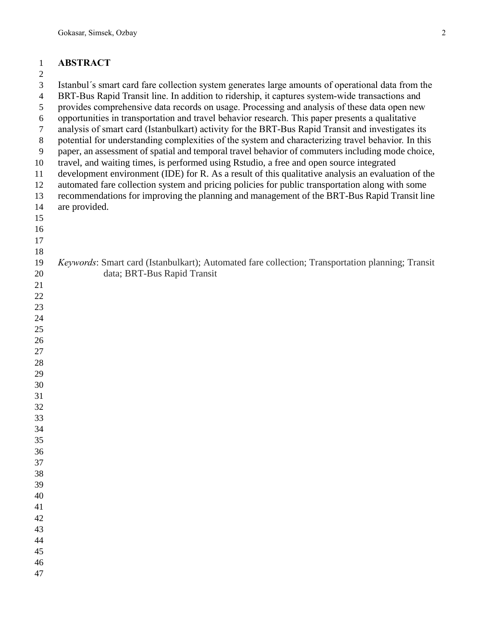## **ABSTRACT**

#### 

| ∠                   |                                                                                                                                                                                                     |
|---------------------|-----------------------------------------------------------------------------------------------------------------------------------------------------------------------------------------------------|
| 3<br>$\overline{4}$ | Istanbul's smart card fare collection system generates large amounts of operational data from the<br>BRT-Bus Rapid Transit line. In addition to ridership, it captures system-wide transactions and |
| 5                   | provides comprehensive data records on usage. Processing and analysis of these data open new                                                                                                        |
| 6                   | opportunities in transportation and travel behavior research. This paper presents a qualitative                                                                                                     |
| $\tau$              | analysis of smart card (Istanbulkart) activity for the BRT-Bus Rapid Transit and investigates its                                                                                                   |
| $\,8\,$             | potential for understanding complexities of the system and characterizing travel behavior. In this                                                                                                  |
| 9                   | paper, an assessment of spatial and temporal travel behavior of commuters including mode choice,                                                                                                    |
| 10                  | travel, and waiting times, is performed using Rstudio, a free and open source integrated                                                                                                            |
| 11                  | development environment (IDE) for R. As a result of this qualitative analysis an evaluation of the                                                                                                  |
| 12                  | automated fare collection system and pricing policies for public transportation along with some                                                                                                     |
| 13                  | recommendations for improving the planning and management of the BRT-Bus Rapid Transit line                                                                                                         |
| 14                  | are provided.                                                                                                                                                                                       |
| 15                  |                                                                                                                                                                                                     |
| 16                  |                                                                                                                                                                                                     |
| 17                  |                                                                                                                                                                                                     |
| 18                  |                                                                                                                                                                                                     |
| 19                  | Keywords: Smart card (Istanbulkart); Automated fare collection; Transportation planning; Transit                                                                                                    |
| 20                  | data; BRT-Bus Rapid Transit                                                                                                                                                                         |
| 21                  |                                                                                                                                                                                                     |
| 22                  |                                                                                                                                                                                                     |
| 23                  |                                                                                                                                                                                                     |
| 24                  |                                                                                                                                                                                                     |
| 25                  |                                                                                                                                                                                                     |
| 26                  |                                                                                                                                                                                                     |
| 27                  |                                                                                                                                                                                                     |
| 28<br>29            |                                                                                                                                                                                                     |
| 30                  |                                                                                                                                                                                                     |
| 31                  |                                                                                                                                                                                                     |
| 32                  |                                                                                                                                                                                                     |
| 33                  |                                                                                                                                                                                                     |
| 34                  |                                                                                                                                                                                                     |
| 35                  |                                                                                                                                                                                                     |
| 36                  |                                                                                                                                                                                                     |
| 37                  |                                                                                                                                                                                                     |
| 38                  |                                                                                                                                                                                                     |
| 39                  |                                                                                                                                                                                                     |
| 40                  |                                                                                                                                                                                                     |
| 41                  |                                                                                                                                                                                                     |
| 42                  |                                                                                                                                                                                                     |
| 43                  |                                                                                                                                                                                                     |
| 44                  |                                                                                                                                                                                                     |
| 45                  |                                                                                                                                                                                                     |
| 46                  |                                                                                                                                                                                                     |
| 47                  |                                                                                                                                                                                                     |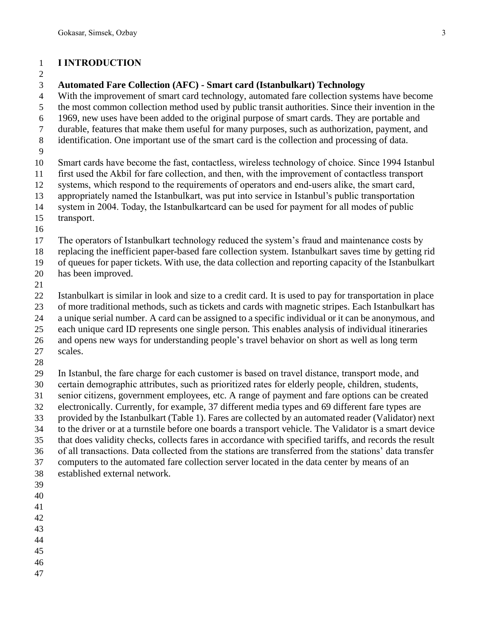#### **I INTRODUCTION**

#### 

#### **Automated Fare Collection (AFC) - Smart card (Istanbulkart) Technology**

With the improvement of smart card technology, automated fare collection systems have become

the most common collection method used by public transit authorities. Since their invention in the

- 1969, new uses have been added to the original purpose of smart cards. They are portable and
- durable, features that make them useful for many purposes, such as authorization, payment, and
- identification. One important use of the smart card is the collection and processing of data.
- 

Smart cards have become the fast, contactless, wireless technology of choice. Since 1994 Istanbul

- first used the Akbil for fare collection, and then, with the improvement of contactless transport
- systems, which respond to the requirements of operators and end-users alike, the smart card,
- appropriately named the Istanbulkart, was put into service in Istanbul's public transportation
- system in 2004. Today, the Istanbulkartcard can be used for payment for all modes of public
- transport.
- 

The operators of Istanbulkart technology reduced the system's fraud and maintenance costs by

replacing the inefficient paper-based fare collection system. Istanbulkart saves time by getting rid

of queues for paper tickets. With use, the data collection and reporting capacity of the Istanbulkart

- has been improved.
- 

 Istanbulkart is similar in look and size to a credit card. It is used to pay for transportation in place of more traditional methods, such as tickets and cards with magnetic stripes. Each Istanbulkart has a unique serial number. A card can be assigned to a specific individual or it can be anonymous, and each unique card ID represents one single person. This enables analysis of individual itineraries and opens new ways for understanding people's travel behavior on short as well as long term

- scales.
- 

 In Istanbul, the fare charge for each customer is based on travel distance, transport mode, and certain demographic attributes, such as prioritized rates for elderly people, children, students, senior citizens, government employees, etc. A range of payment and fare options can be created electronically. Currently, for example, 37 different media types and 69 different fare types are provided by the Istanbulkart (Table 1). Fares are collected by an automated reader (Validator) next to the driver or at a turnstile before one boards a transport vehicle. The Validator is a smart device that does validity checks, collects fares in accordance with specified tariffs, and records the result

of all transactions. Data collected from the stations are transferred from the stations' data transfer

computers to the automated fare collection server located in the data center by means of an

- established external network.
- 
- 
- 
- 
- 
- 
- 
-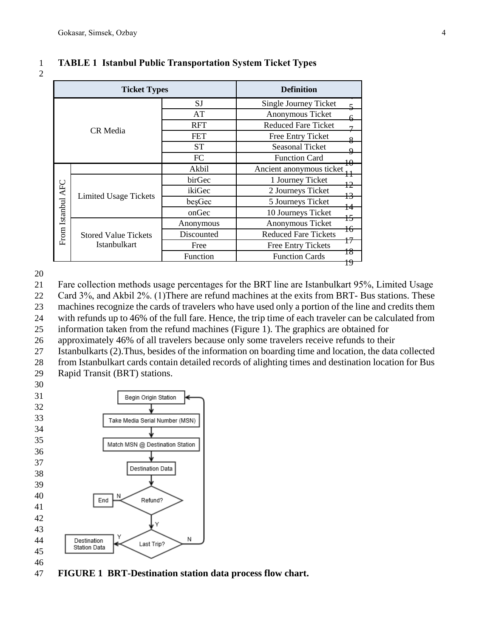| <b>Ticket Types</b> |                             |            | <b>Definition</b>                       |
|---------------------|-----------------------------|------------|-----------------------------------------|
|                     |                             | SJ         | Single Journey Ticket<br>$\overline{5}$ |
| CR Media            |                             | AT         | Anonymous Ticket<br>$6-$                |
|                     |                             | <b>RFT</b> | <b>Reduced Fare Ticket</b><br>7         |
|                     |                             | <b>FET</b> | Free Entry Ticket<br>$\frac{8}{5}$      |
|                     |                             | <b>ST</b>  | Seasonal Ticket<br>9                    |
|                     |                             | FC         | <b>Function Card</b><br>$\overline{10}$ |
|                     |                             | Akbil      | Ancient anonymous ticket<br>$H^{\perp}$ |
|                     | Limited Usage Tickets       | birGec     | 1 Journey Ticket<br>$\overline{12}$     |
| From Istanbul AFC   |                             | ikiGec     | 2 Journeys Ticket<br>$\overline{13}$    |
|                     |                             | beşGec     | 5 Journeys Ticket<br>$\frac{14}{5}$     |
|                     |                             | onGec      | 10 Journeys Ticket<br>$+5$              |
|                     |                             | Anonymous  | Anonymous Ticket<br>$\pm 6$             |
|                     | <b>Stored Value Tickets</b> | Discounted | <b>Reduced Fare Tickets</b>             |
|                     | <b>Istanbulkart</b>         | Free       | 17<br><b>Free Entry Tickets</b>         |
|                     |                             | Function   | 18<br><b>Function Cards</b>             |
|                     |                             |            | 19                                      |

#### **TABLE 1 Istanbul Public Transportation System Ticket Types**

Fare collection methods usage percentages for the BRT line are Istanbulkart 95%, Limited Usage

Card 3%, and Akbil 2%. (1)There are refund machines at the exits from BRT- Bus stations. These

machines recognize the cards of travelers who have used only a portion of the line and credits them

with refunds up to 46% of the full fare. Hence, the trip time of each traveler can be calculated from

information taken from the refund machines (Figure 1). The graphics are obtained for

approximately 46% of all travelers because only some travelers receive refunds to their

- Istanbulkarts (2).Thus, besides of the information on boarding time and location, the data collected
- from Istanbulkart cards contain detailed records of alighting times and destination location for Bus Rapid Transit (BRT) stations.
- 



**FIGURE 1 BRT-Destination station data process flow chart.**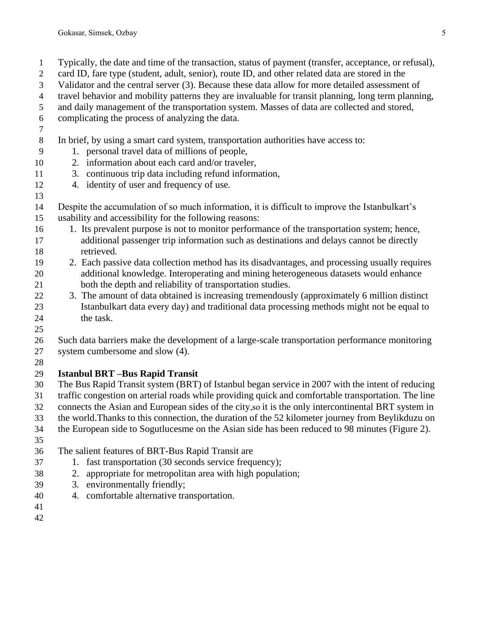- Typically, the date and time of the transaction, status of payment (transfer, acceptance, or refusal),
- card ID, fare type (student, adult, senior), route ID, and other related data are stored in the
- Validator and the central server (3). Because these data allow for more detailed assessment of
- travel behavior and mobility patterns they are invaluable for transit planning, long term planning,
- and daily management of the transportation system. Masses of data are collected and stored,
- complicating the process of analyzing the data.
- 

## In brief, by using a smart card system, transportation authorities have access to:

- 1. personal travel data of millions of people,
- 2. information about each card and/or traveler,
- 3. continuous trip data including refund information,
- 4. identity of user and frequency of use.
- Despite the accumulation of so much information, it is difficult to improve the Istanbulkart's usability and accessibility for the following reasons:
- 1. Its prevalent purpose is not to monitor performance of the transportation system; hence, additional passenger trip information such as destinations and delays cannot be directly retrieved.
- 2. Each passive data collection method has its disadvantages, and processing usually requires additional knowledge. Interoperating and mining heterogeneous datasets would enhance both the depth and reliability of transportation studies.
- 3. The amount of data obtained is increasing tremendously (approximately 6 million distinct Istanbulkart data every day) and traditional data processing methods might not be equal to 24 the task.
- 

 Such data barriers make the development of a large-scale transportation performance monitoring system cumbersome and slow (4).

# **Istanbul BRT –Bus Rapid Transit**

 The Bus Rapid Transit system (BRT) of Istanbul began service in 2007 with the intent of reducing traffic congestion on arterial roads while providing quick and comfortable transportation. The line connects the Asian and European sides of the city,so it is the only intercontinental BRT system in the world.Thanks to this connection, the duration of the 52 kilometer journey from Beylikduzu on the European side to Sogutlucesme on the Asian side has been reduced to 98 minutes (Figure 2).

- 
- The salient features of BRT-Bus Rapid Transit are
- 1. fast transportation (30 seconds service frequency);
- 2. appropriate for metropolitan area with high population;
- 3. environmentally friendly;
- 4. comfortable alternative transportation.
-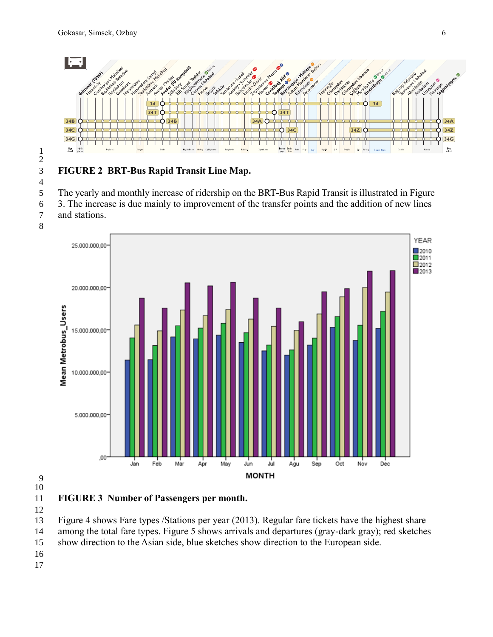

#### **FIGURE 2 BRT-Bus Rapid Transit Line Map.** The yearly and monthly increase of ridership on the BRT-Bus Rapid Transit is illustrated in Figure 3. The increase is due mainly to improvement of the transfer points and the addition of new lines



# 

**FIGURE 3 Number of Passengers per month.**

 Figure 4 shows Fare types /Stations per year (2013). Regular fare tickets have the highest share among the total fare types. Figure 5 shows arrivals and departures (gray-dark gray); red sketches show direction to the Asian side, blue sketches show direction to the European side.

- 
-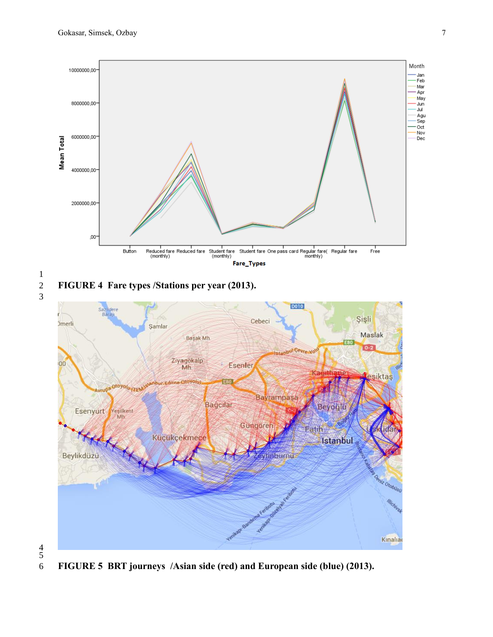



 

**FIGURE 5 BRT journeys /Asian side (red) and European side (blue) (2013).**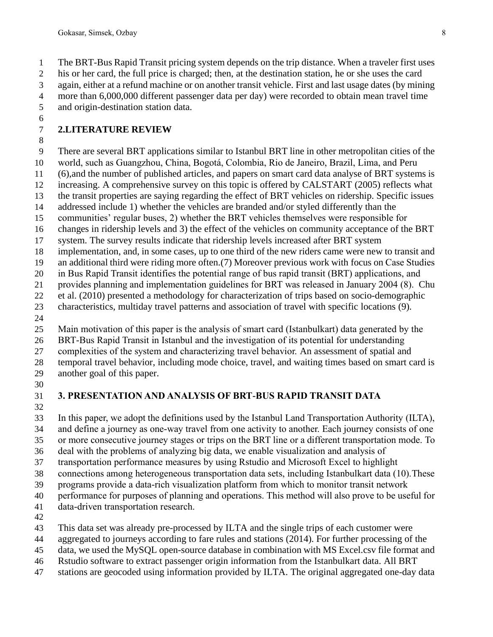his or her card, the full price is charged; then, at the destination station, he or she uses the card

again, either at a refund machine or on another transit vehicle. First and last usage dates (by mining

 more than 6,000,000 different passenger data per day) were recorded to obtain mean travel time and origin-destination station data.

#### **2.LITERATURE REVIEW**

There are several BRT applications similar to Istanbul BRT line in other metropolitan cities of the

world, such as Guangzhou, China, Bogotá, Colombia, Rio de Janeiro, Brazil, Lima, and Peru

(6),and the number of published articles, and papers on smart card data analyse of BRT systems is

increasing. A comprehensive survey on this topic is offered by CALSTART (2005) reflects what

 the transit properties are saying regarding the effect of BRT vehicles on ridership. Specific issues addressed include 1) whether the vehicles are branded and/or styled differently than the

communities' regular buses, 2) whether the BRT vehicles themselves were responsible for

changes in ridership levels and 3) the effect of the vehicles on community acceptance of the BRT

system. The survey results indicate that ridership levels increased after BRT system

implementation, and, in some cases, up to one third of the new riders came were new to transit and

an additional third were riding more often.(7) Moreover previous work with focus on Case Studies

in Bus Rapid Transit identifies the potential range of bus rapid transit (BRT) applications, and

provides planning and implementation guidelines for BRT was released in January 2004 (8). Chu

 et al. (2010) presented a methodology for characterization of trips based on socio-demographic characteristics, multiday travel patterns and association of travel with specific locations (9).

Main motivation of this paper is the analysis of smart card (Istanbulkart) data generated by the

BRT-Bus Rapid Transit in Istanbul and the investigation of its potential for understanding

complexities of the system and characterizing travel behavior. An assessment of spatial and

- temporal travel behavior, including mode choice, travel, and waiting times based on smart card is
- another goal of this paper.
- 

# **3. PRESENTATION AND ANALYSIS OF BRT-BUS RAPID TRANSIT DATA**

 In this paper, we adopt the definitions used by the Istanbul Land Transportation Authority (ILTA), and define a journey as one-way travel from one activity to another. Each journey consists of one

or more consecutive journey stages or trips on the BRT line or a different transportation mode. To

deal with the problems of analyzing big data, we enable visualization and analysis of

 transportation performance measures by using Rstudio and Microsoft Excel to highlight connections among heterogeneous transportation data sets, including Istanbulkart data (10).These

programs provide a data-rich visualization platform from which to monitor transit network

performance for purposes of planning and operations. This method will also prove to be useful for

- data-driven transportation research.
- 

This data set was already pre-processed by ILTA and the single trips of each customer were

aggregated to journeys according to fare rules and stations (2014). For further processing of the

- data, we used the MySQL open-source database in combination with MS Excel.csv file format and
- Rstudio software to extract passenger origin information from the Istanbulkart data. All BRT
- stations are geocoded using information provided by ILTA. The original aggregated one-day data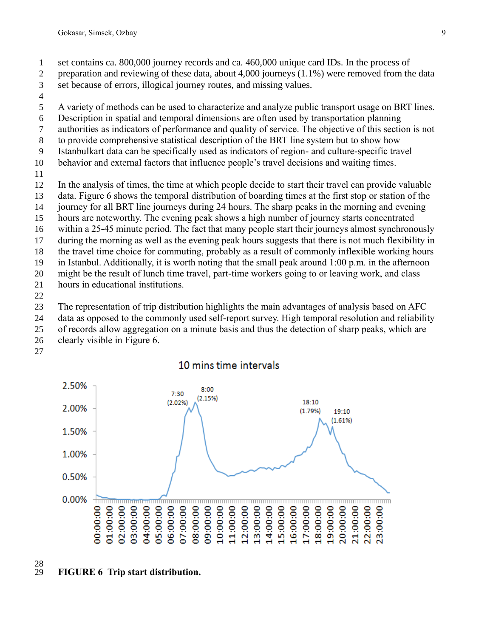- set contains ca. 800,000 journey records and ca. 460,000 unique card IDs. In the process of
- preparation and reviewing of these data, about 4,000 journeys (1.1%) were removed from the data
- set because of errors, illogical journey routes, and missing values.
- 
- A variety of methods can be used to characterize and analyze public transport usage on BRT lines.
- Description in spatial and temporal dimensions are often used by transportation planning
- authorities as indicators of performance and quality of service. The objective of this section is not
- to provide comprehensive statistical description of the BRT line system but to show how
- Istanbulkart data can be specifically used as indicators of region- and culture-specific travel
- behavior and external factors that influence people's travel decisions and waiting times.
- 
- In the analysis of times, the time at which people decide to start their travel can provide valuable
- data. Figure 6 shows the temporal distribution of boarding times at the first stop or station of the
- journey for all BRT line journeys during 24 hours. The sharp peaks in the morning and evening
- hours are noteworthy. The evening peak shows a high number of journey starts concentrated
- within a 25-45 minute period. The fact that many people start their journeys almost synchronously
- during the morning as well as the evening peak hours suggests that there is not much flexibility in
- the travel time choice for commuting, probably as a result of commonly inflexible working hours
- in Istanbul. Additionally, it is worth noting that the small peak around 1:00 p.m. in the afternoon
- might be the result of lunch time travel, part-time workers going to or leaving work, and class
- hours in educational institutions.
- 

The representation of trip distribution highlights the main advantages of analysis based on AFC

- data as opposed to the commonly used self-report survey. High temporal resolution and reliability
- of records allow aggregation on a minute basis and thus the detection of sharp peaks, which are
- clearly visible in Figure 6.
- 



#### 10 mins time intervals

# 

## **FIGURE 6 Trip start distribution.**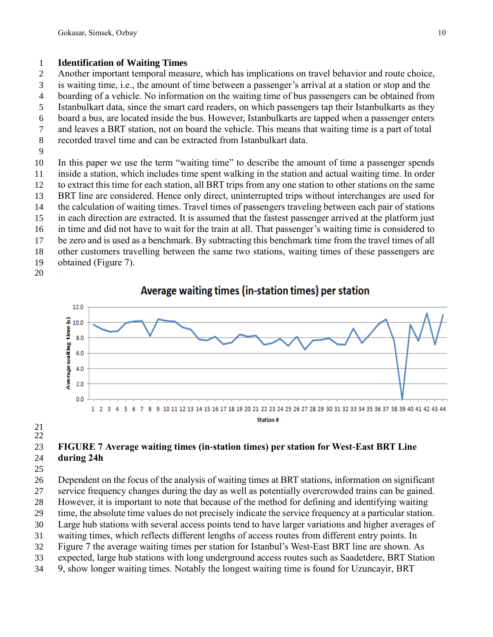#### **Identification of Waiting Times**

Another important temporal measure, which has implications on travel behavior and route choice,

is waiting time, i.e., the amount of time between a passenger's arrival at a station or stop and the

- boarding of a vehicle. No information on the waiting time of bus passengers can be obtained from
- Istanbulkart data, since the smart card readers, on which passengers tap their Istanbulkarts as they
- board a bus, are located inside the bus. However, Istanbulkarts are tapped when a passenger enters
- and leaves a BRT station, not on board the vehicle. This means that waiting time is a part of total
- recorded travel time and can be extracted from Istanbulkart data.
- 

 In this paper we use the term "waiting time" to describe the amount of time a passenger spends inside a station, which includes time spent walking in the station and actual waiting time. In order to extract this time for each station, all BRT trips from any one station to other stations on the same BRT line are considered. Hence only direct, uninterrupted trips without interchanges are used for the calculation of waiting times. Travel times of passengers traveling between each pair of stations in each direction are extracted. It is assumed that the fastest passenger arrived at the platform just in time and did not have to wait for the train at all. That passenger's waiting time is considered to

- be zero and is used as a benchmark. By subtracting this benchmark time from the travel times of all
- other customers travelling between the same two stations, waiting times of these passengers are
- obtained (Figure 7).
- 

# Average waiting times (in-station times) per station



 

## **FIGURE 7 Average waiting times (in-station times) per station for West-East BRT Line during 24h**

 Dependent on the focus of the analysis of waiting times at BRT stations, information on significant service frequency changes during the day as well as potentially overcrowded trains can be gained. However, it is important to note that because of the method for defining and identifying waiting time, the absolute time values do not precisely indicate the service frequency at a particular station. Large hub stations with several access points tend to have larger variations and higher averages of waiting times, which reflects different lengths of access routes from different entry points. In Figure 7 the average waiting times per station for Istanbul's West-East BRT line are shown. As

- expected, large hub stations with long underground access routes such as Saadetdere, BRT Station
- 9, show longer waiting times. Notably the longest waiting time is found for Uzuncayir, BRT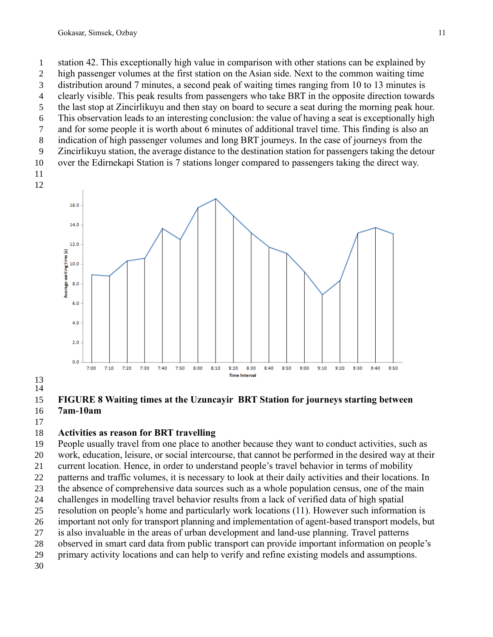high passenger volumes at the first station on the Asian side. Next to the common waiting time

 distribution around 7 minutes, a second peak of waiting times ranging from 10 to 13 minutes is clearly visible. This peak results from passengers who take BRT in the opposite direction towards

- the last stop at Zincirlikuyu and then stay on board to secure a seat during the morning peak hour.
- This observation leads to an interesting conclusion: the value of having a seat is exceptionally high
- and for some people it is worth about 6 minutes of additional travel time. This finding is also an
- indication of high passenger volumes and long BRT journeys. In the case of journeys from the
- Zincirlikuyu station, the average distance to the destination station for passengers taking the detour over the Edirnekapi Station is 7 stations longer compared to passengers taking the direct way.
- 
- 



 

#### **FIGURE 8 Waiting times at the Uzuncayir BRT Station for journeys starting between 7am-10am**

## **Activities as reason for BRT travelling**

 People usually travel from one place to another because they want to conduct activities, such as work, education, leisure, or social intercourse, that cannot be performed in the desired way at their current location. Hence, in order to understand people's travel behavior in terms of mobility patterns and traffic volumes, it is necessary to look at their daily activities and their locations. In the absence of comprehensive data sources such as a whole population census, one of the main challenges in modelling travel behavior results from a lack of verified data of high spatial resolution on people's home and particularly work locations (11). However such information is important not only for transport planning and implementation of agent-based transport models, but is also invaluable in the areas of urban development and land-use planning. Travel patterns observed in smart card data from public transport can provide important information on people's primary activity locations and can help to verify and refine existing models and assumptions.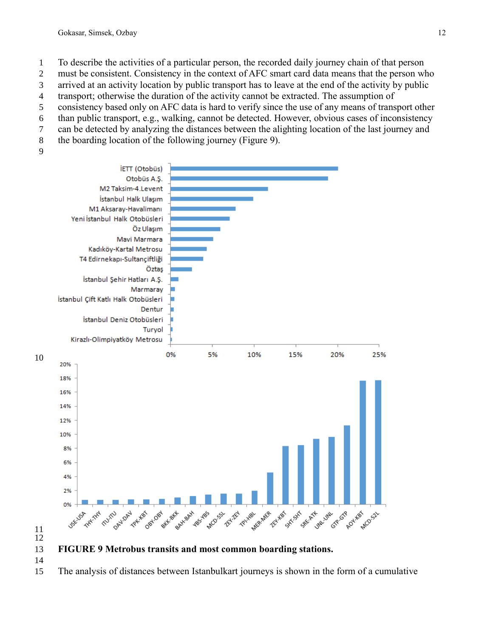To describe the activities of a particular person, the recorded daily journey chain of that person

must be consistent. Consistency in the context of AFC smart card data means that the person who

- arrived at an activity location by public transport has to leave at the end of the activity by public
- transport; otherwise the duration of the activity cannot be extracted. The assumption of
- consistency based only on AFC data is hard to verify since the use of any means of transport other than public transport, e.g., walking, cannot be detected. However, obvious cases of inconsistency
- can be detected by analyzing the distances between the alighting location of the last journey and
- the boarding location of the following journey (Figure 9).
- 



 **FIGURE 9 Metrobus transits and most common boarding stations.** 

The analysis of distances between Istanbulkart journeys is shown in the form of a cumulative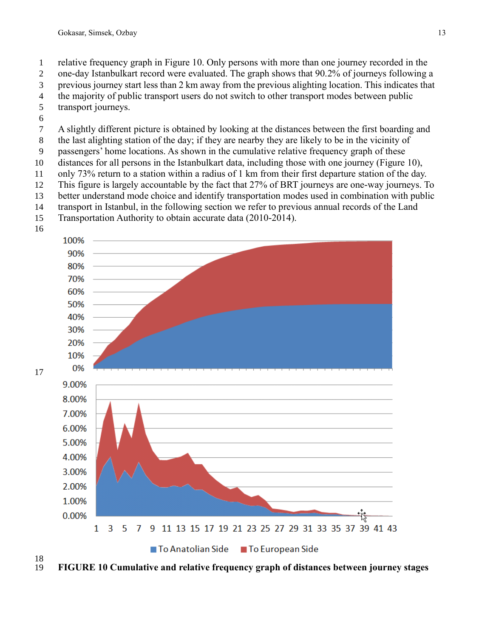- relative frequency graph in Figure 10. Only persons with more than one journey recorded in the
- one-day Istanbulkart record were evaluated. The graph shows that 90.2% of journeys following a
- previous journey start less than 2 km away from the previous alighting location. This indicates that
- the majority of public transport users do not switch to other transport modes between public
- transport journeys.
- A slightly different picture is obtained by looking at the distances between the first boarding and
- the last alighting station of the day; if they are nearby they are likely to be in the vicinity of
- passengers' home locations. As shown in the cumulative relative frequency graph of these
- distances for all persons in the Istanbulkart data, including those with one journey (Figure 10),
- only 73% return to a station within a radius of 1 km from their first departure station of the day.
- This figure is largely accountable by the fact that 27% of BRT journeys are one-way journeys. To
- better understand mode choice and identify transportation modes used in combination with public
- transport in Istanbul, in the following section we refer to previous annual records of the Land
- Transportation Authority to obtain accurate data (2010-2014).





 $\frac{18}{19}$ **FIGURE 10 Cumulative and relative frequency graph of distances between journey stages**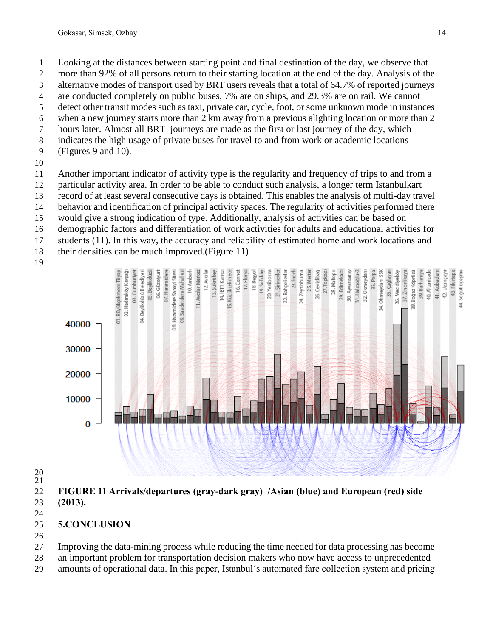- Looking at the distances between starting point and final destination of the day, we observe that
- more than 92% of all persons return to their starting location at the end of the day. Analysis of the
- alternative modes of transport used by BRT users reveals that a total of 64.7% of reported journeys
- are conducted completely on public buses, 7% are on ships, and 29.3% are on rail. We cannot detect other transit modes such as taxi, private car, cycle, foot, or some unknown mode in instances
- when a new journey starts more than 2 km away from a previous alighting location or more than 2
- hours later. Almost all BRT journeys are made as the first or last journey of the day, which
- indicates the high usage of private buses for travel to and from work or academic locations
- (Figures 9 and 10).
- 
- Another important indicator of activity type is the regularity and frequency of trips to and from a
- particular activity area. In order to be able to conduct such analysis, a longer term Istanbulkart
- record of at least several consecutive days is obtained. This enables the analysis of multi-day travel
- behavior and identification of principal activity spaces. The regularity of activities performed there
- would give a strong indication of type. Additionally, analysis of activities can be based on
- demographic factors and differentiation of work activities for adults and educational activities for
- students (11). In this way, the accuracy and reliability of estimated home and work locations and
- their densities can be much improved.(Figure 11)
- 



 

 **FIGURE 11 Arrivals/departures (gray-dark gray) /Asian (blue) and European (red) side (2013).**

- 
- **5.CONCLUSION**
- 

Improving the data-mining process while reducing the time needed for data processing has become

- an important problem for transportation decision makers who now have access to unprecedented
- amounts of operational data. In this paper, Istanbul´s automated fare collection system and pricing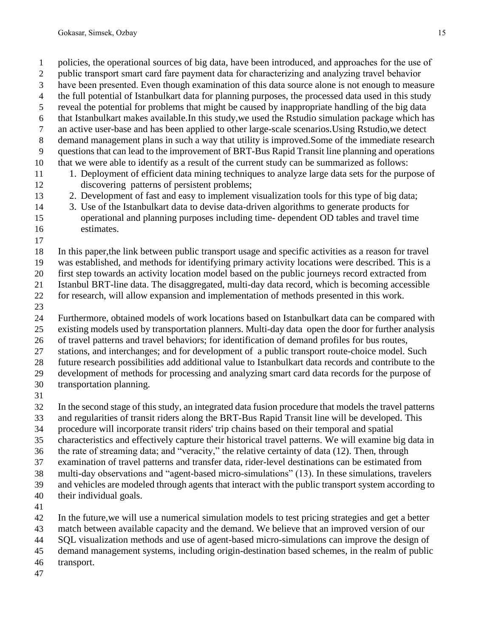policies, the operational sources of big data, have been introduced, and approaches for the use of

- public transport smart card fare payment data for characterizing and analyzing travel behavior
- have been presented. Even though examination of this data source alone is not enough to measure
- the full potential of Istanbulkart data for planning purposes, the processed data used in this study reveal the potential for problems that might be caused by inappropriate handling of the big data
- that Istanbulkart makes available.In this study,we used the Rstudio simulation package which has
- an active user-base and has been applied to other large-scale scenarios.Using Rstudio,we detect
- demand management plans in such a way that utility is improved.Some of the immediate research
- questions that can lead to the improvement of BRT-Bus Rapid Transit line planning and operations
- that we were able to identify as a result of the current study can be summarized as follows:
- 1. Deployment of efficient data mining techniques to analyze large data sets for the purpose of discovering patterns of persistent problems;
- 2. Development of fast and easy to implement visualization tools for this type of big data;
- 3. Use of the Istanbulkart data to devise data-driven algorithms to generate products for operational and planning purposes including time- dependent OD tables and travel time
- estimates.
- 

In this paper,the link between public transport usage and specific activities as a reason for travel

was established, and methods for identifying primary activity locations were described. This is a

first step towards an activity location model based on the public journeys record extracted from

 Istanbul BRT-line data. The disaggregated, multi-day data record, which is becoming accessible for research, will allow expansion and implementation of methods presented in this work.

Furthermore, obtained models of work locations based on Istanbulkart data can be compared with

existing models used by transportation planners. Multi-day data open the door for further analysis

of travel patterns and travel behaviors; for identification of demand profiles for bus routes,

stations, and interchanges; and for development of a public transport route-choice model. Such

future research possibilities add additional value to Istanbulkart data records and contribute to the

development of methods for processing and analyzing smart card data records for the purpose of

- transportation planning.
- 

In the second stage of this study, an integrated data fusion procedure that models the travel patterns

- and regularities of transit riders along the BRT-Bus Rapid Transit line will be developed. This
- procedure will incorporate transit riders' trip chains based on their temporal and spatial
- characteristics and effectively capture their historical travel patterns. We will examine big data in

the rate of streaming data; and "veracity," the relative certainty of data (12). Then, through

examination of travel patterns and transfer data, rider-level destinations can be estimated from

multi-day observations and "agent-based micro-simulations" (13). In these simulations, travelers

and vehicles are modeled through agents that interact with the public transport system according to

- their individual goals.
- 

In the future,we will use a numerical simulation models to test pricing strategies and get a better

match between available capacity and the demand. We believe that an improved version of our

SQL visualization methods and use of agent-based micro-simulations can improve the design of

demand management systems, including origin-destination based schemes, in the realm of public

- transport.
-